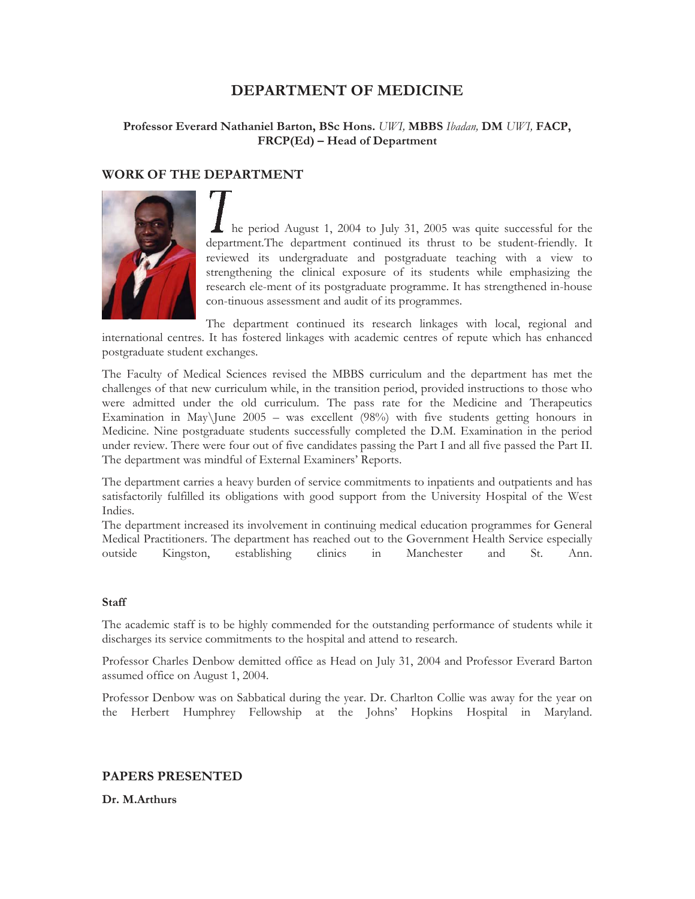# **DEPARTMENT OF MEDICINE**

# **Professor Everard Nathaniel Barton, BSc Hons.** *UWI,* **MBBS** *Ibadan,* **DM** *UWI,* **FACP, FRCP(Ed) – Head of Department**

# **WORK OF THE DEPARTMENT**



he period August 1, 2004 to July 31, 2005 was quite successful for the department.The department continued its thrust to be student-friendly. It reviewed its undergraduate and postgraduate teaching with a view to strengthening the clinical exposure of its students while emphasizing the research ele-ment of its postgraduate programme. It has strengthened in-house con-tinuous assessment and audit of its programmes.

The department continued its research linkages with local, regional and international centres. It has fostered linkages with academic centres of repute which has enhanced postgraduate student exchanges.

The Faculty of Medical Sciences revised the MBBS curriculum and the department has met the challenges of that new curriculum while, in the transition period, provided instructions to those who were admitted under the old curriculum. The pass rate for the Medicine and Therapeutics Examination in May\June  $2005 -$  was excellent (98%) with five students getting honours in Medicine. Nine postgraduate students successfully completed the D.M. Examination in the period under review. There were four out of five candidates passing the Part I and all five passed the Part II. The department was mindful of External Examiners' Reports.

The department carries a heavy burden of service commitments to inpatients and outpatients and has satisfactorily fulfilled its obligations with good support from the University Hospital of the West Indies.

The department increased its involvement in continuing medical education programmes for General Medical Practitioners. The department has reached out to the Government Health Service especially outside Kingston, establishing clinics in Manchester and St. Ann.

#### **Staff**

The academic staff is to be highly commended for the outstanding performance of students while it discharges its service commitments to the hospital and attend to research.

Professor Charles Denbow demitted office as Head on July 31, 2004 and Professor Everard Barton assumed office on August 1, 2004.

Professor Denbow was on Sabbatical during the year. Dr. Charlton Collie was away for the year on the Herbert Humphrey Fellowship at the Johns' Hopkins Hospital in Maryland.

## **PAPERS PRESENTED**

**Dr. M.Arthurs**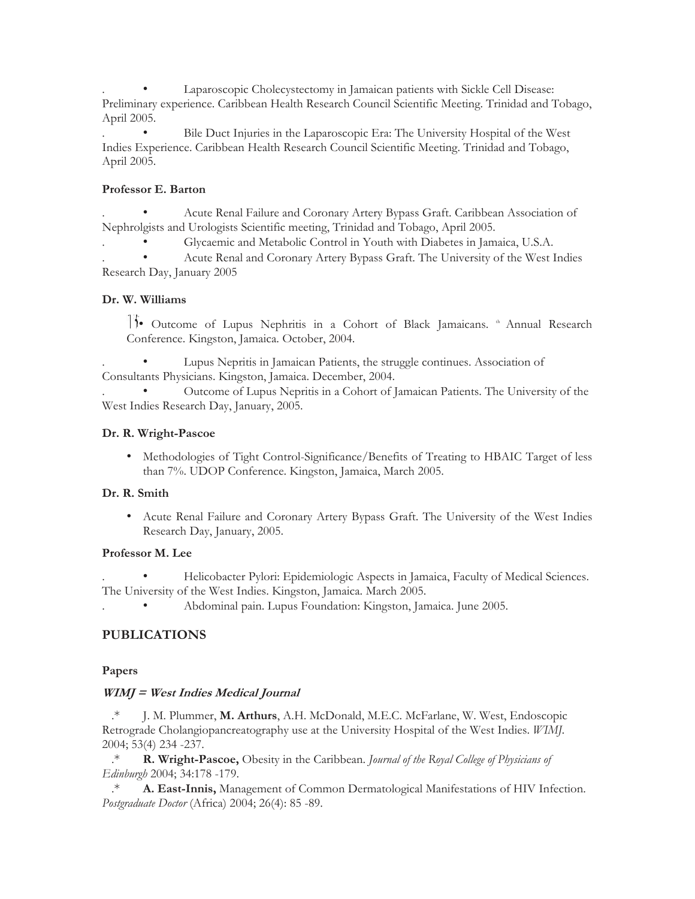Laparoscopic Cholecystectomy in Jamaican patients with Sickle Cell Disease: Preliminary experience. Caribbean Health Research Council Scientific Meeting. Trinidad and Tobago, April 2005.

. • Bile Duct Injuries in the Laparoscopic Era: The University Hospital of the West Indies Experience. Caribbean Health Research Council Scientific Meeting. Trinidad and Tobago, April 2005.

#### **Professor E. Barton**

. • Acute Renal Failure and Coronary Artery Bypass Graft. Caribbean Association of Nephrolgists and Urologists Scientific meeting, Trinidad and Tobago, April 2005.

. • Glycaemic and Metabolic Control in Youth with Diabetes in Jamaica, U.S.A.

. • Acute Renal and Coronary Artery Bypass Graft. The University of the West Indies Research Day, January 2005

## **Dr. W. Williams**

11. Outcome of Lupus Nephritis in a Cohort of Black Jamaicans. <sup>th</sup> Annual Research Conference. Kingston, Jamaica. October, 2004.

Lupus Nepritis in Jamaican Patients, the struggle continues. Association of Consultants Physicians. Kingston, Jamaica. December, 2004.

. • Outcome of Lupus Nepritis in a Cohort of Jamaican Patients. The University of the West Indies Research Day, January, 2005.

#### **Dr. R. Wright-Pascoe**

• Methodologies of Tight Control-Significance/Benefits of Treating to HBAIC Target of less than 7%. UDOP Conference. Kingston, Jamaica, March 2005.

## **Dr. R. Smith**

• Acute Renal Failure and Coronary Artery Bypass Graft. The University of the West Indies Research Day, January, 2005.

#### **Professor M. Lee**

. • Helicobacter Pylori: Epidemiologic Aspects in Jamaica, Faculty of Medical Sciences. The University of the West Indies. Kingston, Jamaica. March 2005.

. • Abdominal pain. Lupus Foundation: Kingston, Jamaica. June 2005.

## **PUBLICATIONS**

## **Papers**

## **WIMJ = West Indies Medical Journal**

.\* J. M. Plummer, **M. Arthurs**, A.H. McDonald, M.E.C. McFarlane, W. West, Endoscopic Retrograde Cholangiopancreatography use at the University Hospital of the West Indies. *WIMJ.*  2004; 53(4) 234 -237.

.\* **R. Wright-Pascoe,** Obesity in the Caribbean. *Journal of the Royal College of Physicians of Edinburgh* 2004; 34:178 -179.

.\* **A. East-Innis,** Management of Common Dermatological Manifestations of HIV Infection. *Postgraduate Doctor* (Africa) 2004; 26(4): 85 -89.